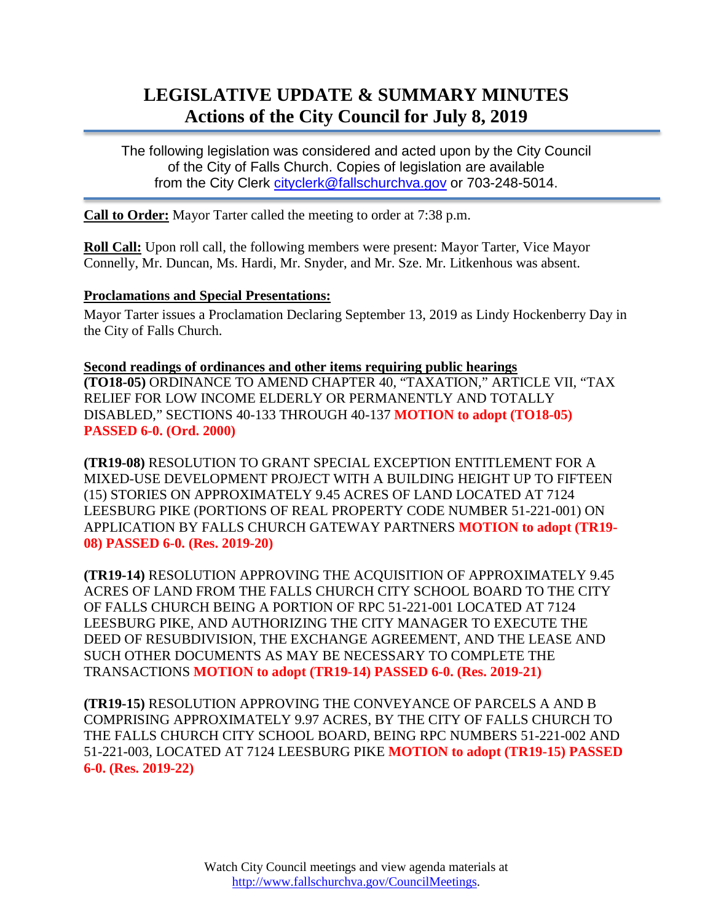# **LEGISLATIVE UPDATE & SUMMARY MINUTES Actions of the City Council for July 8, 2019**

The following legislation was considered and acted upon by the City Council of the City of Falls Church. Copies of legislation are available from the City Clerk [cityclerk@fallschurchva.gov](mailto:cityclerk@fallschurchva.gov) or 703-248-5014.

**Call to Order:** Mayor Tarter called the meeting to order at 7:38 p.m.

**Roll Call:** Upon roll call, the following members were present: Mayor Tarter, Vice Mayor Connelly, Mr. Duncan, Ms. Hardi, Mr. Snyder, and Mr. Sze. Mr. Litkenhous was absent.

#### **Proclamations and Special Presentations:**

Mayor Tarter issues a Proclamation Declaring September 13, 2019 as Lindy Hockenberry Day in the City of Falls Church.

**Second readings of ordinances and other items requiring public hearings (TO18-05)** ORDINANCE TO AMEND CHAPTER 40, "TAXATION," ARTICLE VII, "TAX RELIEF FOR LOW INCOME ELDERLY OR PERMANENTLY AND TOTALLY DISABLED," SECTIONS 40-133 THROUGH 40-137 **MOTION to adopt (TO18-05) PASSED 6-0. (Ord. 2000)**

**(TR19-08)** RESOLUTION TO GRANT SPECIAL EXCEPTION ENTITLEMENT FOR A MIXED-USE DEVELOPMENT PROJECT WITH A BUILDING HEIGHT UP TO FIFTEEN (15) STORIES ON APPROXIMATELY 9.45 ACRES OF LAND LOCATED AT 7124 LEESBURG PIKE (PORTIONS OF REAL PROPERTY CODE NUMBER 51-221-001) ON APPLICATION BY FALLS CHURCH GATEWAY PARTNERS **MOTION to adopt (TR19- 08) PASSED 6-0. (Res. 2019-20)**

**(TR19-14)** RESOLUTION APPROVING THE ACQUISITION OF APPROXIMATELY 9.45 ACRES OF LAND FROM THE FALLS CHURCH CITY SCHOOL BOARD TO THE CITY OF FALLS CHURCH BEING A PORTION OF RPC 51-221-001 LOCATED AT 7124 LEESBURG PIKE, AND AUTHORIZING THE CITY MANAGER TO EXECUTE THE DEED OF RESUBDIVISION, THE EXCHANGE AGREEMENT, AND THE LEASE AND SUCH OTHER DOCUMENTS AS MAY BE NECESSARY TO COMPLETE THE TRANSACTIONS **MOTION to adopt (TR19-14) PASSED 6-0. (Res. 2019-21)**

**(TR19-15)** RESOLUTION APPROVING THE CONVEYANCE OF PARCELS A AND B COMPRISING APPROXIMATELY 9.97 ACRES, BY THE CITY OF FALLS CHURCH TO THE FALLS CHURCH CITY SCHOOL BOARD, BEING RPC NUMBERS 51-221-002 AND 51-221-003, LOCATED AT 7124 LEESBURG PIKE **MOTION to adopt (TR19-15) PASSED 6-0. (Res. 2019-22)**